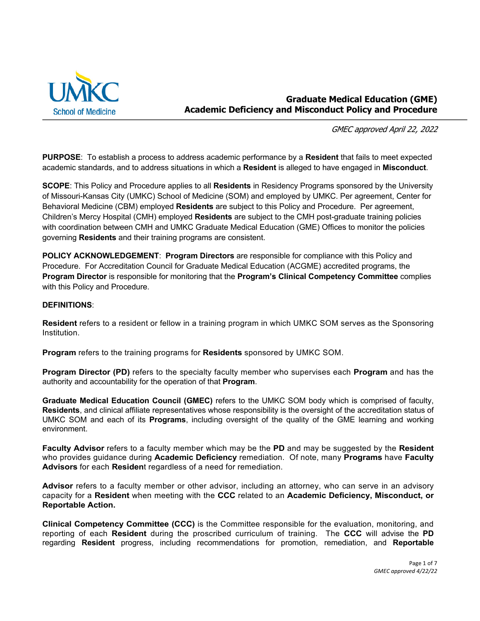

## **Graduate Medical Education (GME) Academic Deficiency and Misconduct Policy and Procedure**

GMEC approved April 22, 2022

**PURPOSE**: To establish a process to address academic performance by a **Resident** that fails to meet expected academic standards, and to address situations in which a **Resident** is alleged to have engaged in **Misconduct**.

**SCOPE**: This Policy and Procedure applies to all **Residents** in Residency Programs sponsored by the University of Missouri-Kansas City (UMKC) School of Medicine (SOM) and employed by UMKC. Per agreement, Center for Behavioral Medicine (CBM) employed **Residents** are subject to this Policy and Procedure. Per agreement, Children's Mercy Hospital (CMH) employed **Residents** are subject to the CMH post-graduate training policies with coordination between CMH and UMKC Graduate Medical Education (GME) Offices to monitor the policies governing **Residents** and their training programs are consistent.

**POLICY ACKNOWLEDGEMENT**: **Program Directors** are responsible for compliance with this Policy and Procedure. For Accreditation Council for Graduate Medical Education (ACGME) accredited programs, the **Program Director** is responsible for monitoring that the **Program's Clinical Competency Committee** complies with this Policy and Procedure.

#### **DEFINITIONS**:

**Resident** refers to a resident or fellow in a training program in which UMKC SOM serves as the Sponsoring Institution.

**Program** refers to the training programs for **Residents** sponsored by UMKC SOM.

**Program Director (PD)** refers to the specialty faculty member who supervises each **Program** and has the authority and accountability for the operation of that **Program**.

**Graduate Medical Education Council (GMEC)** refers to the UMKC SOM body which is comprised of faculty, **Residents**, and clinical affiliate representatives whose responsibility is the oversight of the accreditation status of UMKC SOM and each of its **Programs**, including oversight of the quality of the GME learning and working environment.

**Faculty Advisor** refers to a faculty member which may be the **PD** and may be suggested by the **Resident** who provides guidance during **Academic Deficiency** remediation. Of note, many **Programs** have **Faculty Advisors** for each **Residen**t regardless of a need for remediation.

**Advisor** refers to a faculty member or other advisor, including an attorney, who can serve in an advisory capacity for a **Resident** when meeting with the **CCC** related to an **Academic Deficiency, Misconduct, or Reportable Action.**

**Clinical Competency Committee (CCC)** is the Committee responsible for the evaluation, monitoring, and reporting of each **Resident** during the proscribed curriculum of training. The **CCC** will advise the **PD** regarding **Resident** progress, including recommendations for promotion, remediation, and **Reportable**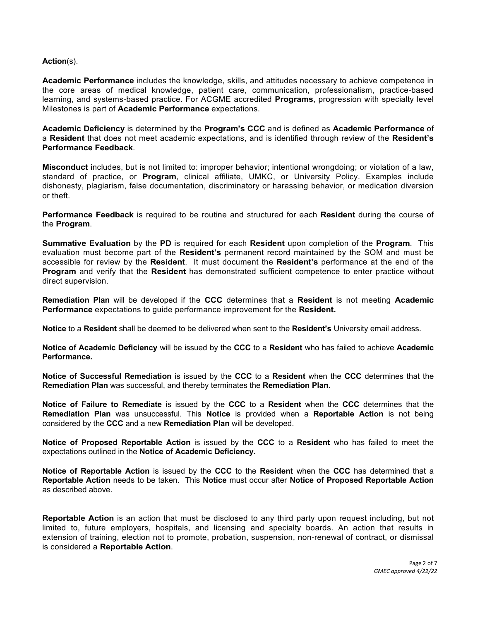#### **Action**(s).

**Academic Performance** includes the knowledge, skills, and attitudes necessary to achieve competence in the core areas of medical knowledge, patient care, communication, professionalism, practice-based learning, and systems-based practice. For ACGME accredited **Programs**, progression with specialty level Milestones is part of **Academic Performance** expectations.

**Academic Deficiency** is determined by the **Program's CCC** and is defined as **Academic Performance** of a **Resident** that does not meet academic expectations, and is identified through review of the **Resident's Performance Feedback**.

**Misconduct** includes, but is not limited to: improper behavior; intentional wrongdoing; or violation of a law, standard of practice, or **Program**, clinical affiliate, UMKC, or University Policy. Examples include dishonesty, plagiarism, false documentation, discriminatory or harassing behavior, or medication diversion or theft.

**Performance Feedback** is required to be routine and structured for each **Resident** during the course of the **Program**.

**Summative Evaluation** by the **PD** is required for each **Resident** upon completion of the **Program**. This evaluation must become part of the **Resident's** permanent record maintained by the SOM and must be accessible for review by the **Resident**. It must document the **Resident's** performance at the end of the **Program** and verify that the **Resident** has demonstrated sufficient competence to enter practice without direct supervision.

**Remediation Plan** will be developed if the **CCC** determines that a **Resident** is not meeting **Academic Performance** expectations to guide performance improvement for the **Resident.**

**Notice** to a **Resident** shall be deemed to be delivered when sent to the **Resident's** University email address.

**Notice of Academic Deficiency** will be issued by the **CCC** to a **Resident** who has failed to achieve **Academic Performance.**

**Notice of Successful Remediation** is issued by the **CCC** to a **Resident** when the **CCC** determines that the **Remediation Plan** was successful, and thereby terminates the **Remediation Plan.**

**Notice of Failure to Remediate** is issued by the **CCC** to a **Resident** when the **CCC** determines that the **Remediation Plan** was unsuccessful. This **Notice** is provided when a **Reportable Action** is not being considered by the **CCC** and a new **Remediation Plan** will be developed.

**Notice of Proposed Reportable Action** is issued by the **CCC** to a **Resident** who has failed to meet the expectations outlined in the **Notice of Academic Deficiency.** 

**Notice of Reportable Action** is issued by the **CCC** to the **Resident** when the **CCC** has determined that a **Reportable Action** needs to be taken. This **Notice** must occur after **Notice of Proposed Reportable Action** as described above.

**Reportable Action** is an action that must be disclosed to any third party upon request including, but not limited to, future employers, hospitals, and licensing and specialty boards. An action that results in extension of training, election not to promote, probation, suspension, non-renewal of contract, or dismissal is considered a **Reportable Action**.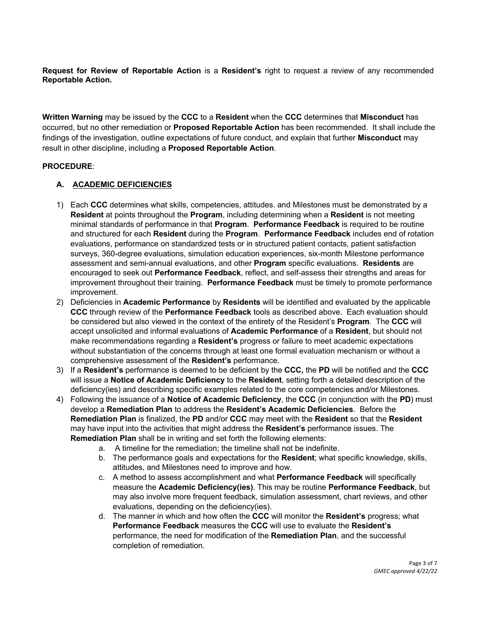**Request for Review of Reportable Action** is a **Resident's** right to request a review of any recommended **Reportable Action.**

**Written Warning** may be issued by the **CCC** to a **Resident** when the **CCC** determines that **Misconduct** has occurred, but no other remediation or **Proposed Reportable Action** has been recommended. It shall include the findings of the investigation, outline expectations of future conduct, and explain that further **Misconduct** may result in other discipline, including a **Proposed Reportable Action**.

#### **PROCEDURE**:

#### **A. ACADEMIC DEFICIENCIES**

- 1) Each **CCC** determines what skills, competencies, attitudes. and Milestones must be demonstrated by a **Resident** at points throughout the **Program**, including determining when a **Resident** is not meeting minimal standards of performance in that **Program**. **Performance Feedback** is required to be routine and structured for each **Resident** during the **Program**. **Performance Feedback** includes end of rotation evaluations, performance on standardized tests or in structured patient contacts, patient satisfaction surveys, 360-degree evaluations, simulation education experiences, six-month Milestone performance assessment and semi-annual evaluations, and other **Program** specific evaluations. **Residents** are encouraged to seek out **Performance Feedback**, reflect, and self-assess their strengths and areas for improvement throughout their training. **Performance Feedback** must be timely to promote performance improvement.
- 2) Deficiencies in **Academic Performance** by **Residents** will be identified and evaluated by the applicable **CCC** through review of the **Performance Feedback** tools as described above. Each evaluation should be considered but also viewed in the context of the entirety of the Resident's **Program**. The **CCC** will accept unsolicited and informal evaluations of **Academic Performance** of a **Resident**, but should not make recommendations regarding a **Resident's** progress or failure to meet academic expectations without substantiation of the concerns through at least one formal evaluation mechanism or without a comprehensive assessment of the **Resident's** performance.
- 3) If a **Resident's** performance is deemed to be deficient by the **CCC,** the **PD** will be notified and the **CCC** will issue a **Notice of Academic Deficiency** to the **Resident**, setting forth a detailed description of the deficiency(ies) and describing specific examples related to the core competencies and/or Milestones.
- 4) Following the issuance of a **Notice of Academic Deficiency**, the **CCC** (in conjunction with the **PD**) must develop a **Remediation Plan** to address the **Resident's Academic Deficiencies**. Before the **Remediation Plan** is finalized, the **PD** and/or **CCC** may meet with the **Resident** so that the **Resident** may have input into the activities that might address the **Resident's** performance issues. The **Remediation Plan** shall be in writing and set forth the following elements:
	- a. A timeline for the remediation; the timeline shall not be indefinite.
		- b. The performance goals and expectations for the **Resident**; what specific knowledge, skills, attitudes, and Milestones need to improve and how.
		- c. A method to assess accomplishment and what **Performance Feedback** will specifically measure the **Academic Deficiency(ies)**. This may be routine **Performance Feedback**, but may also involve more frequent feedback, simulation assessment, chart reviews, and other evaluations, depending on the deficiency(ies).
		- d. The manner in which and how often the **CCC** will monitor the **Resident's** progress; what **Performance Feedback** measures the **CCC** will use to evaluate the **Resident's** performance, the need for modification of the **Remediation Plan**, and the successful completion of remediation.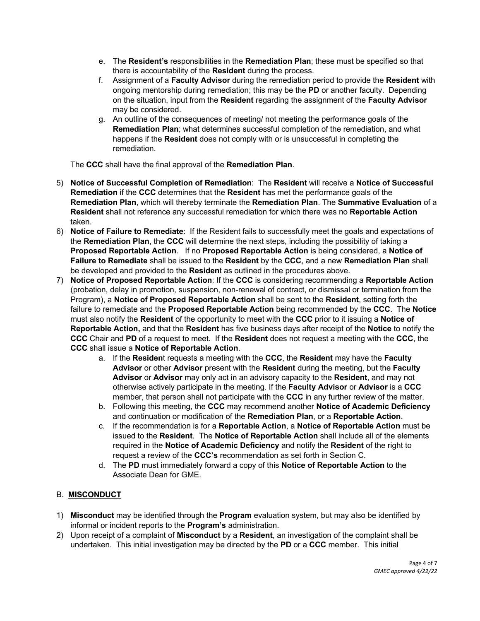- e. The **Resident's** responsibilities in the **Remediation Plan**; these must be specified so that there is accountability of the **Resident** during the process.
- f. Assignment of a **Faculty Advisor** during the remediation period to provide the **Resident** with ongoing mentorship during remediation; this may be the **PD** or another faculty. Depending on the situation, input from the **Resident** regarding the assignment of the **Faculty Advisor** may be considered.
- g. An outline of the consequences of meeting/ not meeting the performance goals of the **Remediation Plan**; what determines successful completion of the remediation, and what happens if the **Resident** does not comply with or is unsuccessful in completing the remediation.

The **CCC** shall have the final approval of the **Remediation Plan**.

- 5) **Notice of Successful Completion of Remediation**: The **Resident** will receive a **Notice of Successful Remediation** if the **CCC** determines that the **Resident** has met the performance goals of the **Remediation Plan**, which will thereby terminate the **Remediation Plan**. The **Summative Evaluation** of a **Resident** shall not reference any successful remediation for which there was no **Reportable Action** taken.
- 6) **Notice of Failure to Remediate**: If the Resident fails to successfully meet the goals and expectations of the **Remediation Plan**, the **CCC** will determine the next steps, including the possibility of taking a **Proposed Reportable Action**. If no **Proposed Reportable Action** is being considered, a **Notice of Failure to Remediate** shall be issued to the **Resident** by the **CCC**, and a new **Remediation Plan** shall be developed and provided to the **Residen**t as outlined in the procedures above.
- 7) **Notice of Proposed Reportable Action**: If the **CCC** is considering recommending a **Reportable Action**  (probation, delay in promotion, suspension, non-renewal of contract, or dismissal or termination from the Program), a **Notice of Proposed Reportable Action** shall be sent to the **Resident**, setting forth the failure to remediate and the **Proposed Reportable Action** being recommended by the **CCC**. The **Notice** must also notify the **Resident** of the opportunity to meet with the **CCC** prior to it issuing a **Notice of Reportable Action,** and that the **Resident** has five business days after receipt of the **Notice** to notify the **CCC** Chair and **PD** of a request to meet. If the **Resident** does not request a meeting with the **CCC**, the **CCC** shall issue a **Notice of Reportable Action**.
	- a. If the **Residen**t requests a meeting with the **CCC**, the **Resident** may have the **Faculty Advisor** or other **Advisor** present with the **Resident** during the meeting, but the **Faculty Advisor** or **Advisor** may only act in an advisory capacity to the **Resident**, and may not otherwise actively participate in the meeting. If the **Faculty Advisor** or **Advisor** is a **CCC** member, that person shall not participate with the **CCC** in any further review of the matter.
	- b. Following this meeting, the **CCC** may recommend another **Notice of Academic Deficiency** and continuation or modification of the **Remediation Plan**, or a **Reportable Action**.
	- c. If the recommendation is for a **Reportable Action**, a **Notice of Reportable Action** must be issued to the **Resident**. The **Notice of Reportable Action** shall include all of the elements required in the **Notice of Academic Deficiency** and notify the **Resident** of the right to request a review of the **CCC's** recommendation as set forth in Section C.
	- d. The **PD** must immediately forward a copy of this **Notice of Reportable Action** to the Associate Dean for GME.

### B. **MISCONDUCT**

- 1) **Misconduct** may be identified through the **Program** evaluation system, but may also be identified by informal or incident reports to the **Program's** administration.
- 2) Upon receipt of a complaint of **Misconduct** by a **Resident**, an investigation of the complaint shall be undertaken. This initial investigation may be directed by the **PD** or a **CCC** member. This initial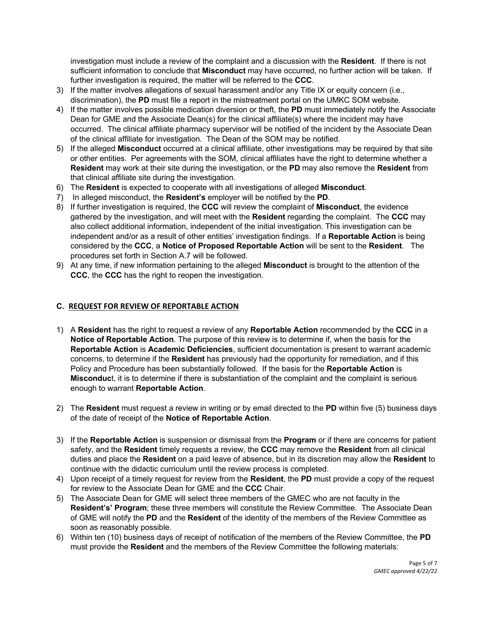investigation must include a review of the complaint and a discussion with the **Resident**. If there is not sufficient information to conclude that **Misconduct** may have occurred, no further action will be taken. If further investigation is required, the matter will be referred to the **CCC**.

- 3) If the matter involves allegations of sexual harassment and/or any Title IX or equity concern (i.e., discrimination), the **PD** must file a report in the mistreatment portal on the UMKC SOM website.
- 4) If the matter involves possible medication diversion or theft, the **PD** must immediately notify the Associate Dean for GME and the Associate Dean(s) for the clinical affiliate(s) where the incident may have occurred. The clinical affiliate pharmacy supervisor will be notified of the incident by the Associate Dean of the clinical affiliate for investigation. The Dean of the SOM may be notified.
- 5) If the alleged **Misconduct** occurred at a clinical affiliate, other investigations may be required by that site or other entities. Per agreements with the SOM, clinical affiliates have the right to determine whether a **Resident** may work at their site during the investigation, or the **PD** may also remove the **Resident** from that clinical affiliate site during the investigation.
- 6) The **Resident** is expected to cooperate with all investigations of alleged **Misconduct**.
- 7) In alleged misconduct, the **Resident's** employer will be notified by the **PD**.
- 8) If further investigation is required, the **CCC** will review the complaint of **Misconduct**, the evidence gathered by the investigation, and will meet with the **Resident** regarding the complaint. The **CCC** may also collect additional information, independent of the initial investigation. This investigation can be independent and/or as a result of other entities' investigation findings. If a **Reportable Action** is being considered by the **CCC**, a **Notice of Proposed Reportable Action** will be sent to the **Resident**. The procedures set forth in Section A.7 will be followed.
- 9) At any time, if new information pertaining to the alleged **Misconduct** is brought to the attention of the **CCC**, the **CCC** has the right to reopen the investigation.

#### **C. REQUEST FOR REVIEW OF REPORTABLE ACTION**

- 1) A **Resident** has the right to request a review of any **Reportable Action** recommended by the **CCC** in a **Notice of Reportable Action**. The purpose of this review is to determine if, when the basis for the **Reportable Action** is **Academic Deficiencies**, sufficient documentation is present to warrant academic concerns, to determine if the **Resident** has previously had the opportunity for remediation, and if this Policy and Procedure has been substantially followed. If the basis for the **Reportable Action** is **Misconduc**t, it is to determine if there is substantiation of the complaint and the complaint is serious enough to warrant **Reportable Action**.
- 2) The **Resident** must request a review in writing or by email directed to the **PD** within five (5) business days of the date of receipt of the **Notice of Reportable Action**.
- 3) If the **Reportable Action** is suspension or dismissal from the **Program** or if there are concerns for patient safety, and the **Resident** timely requests a review, the **CCC** may remove the **Resident** from all clinical duties and place the **Resident** on a paid leave of absence, but in its discretion may allow the **Resident** to continue with the didactic curriculum until the review process is completed.
- 4) Upon receipt of a timely request for review from the **Resident**, the **PD** must provide a copy of the request for review to the Associate Dean for GME and the **CCC** Chair.
- 5) The Associate Dean for GME will select three members of the GMEC who are not faculty in the **Resident's' Program**; these three members will constitute the Review Committee. The Associate Dean of GME will notify the **PD** and the **Resident** of the identity of the members of the Review Committee as soon as reasonably possible.
- 6) Within ten (10) business days of receipt of notification of the members of the Review Committee, the **PD** must provide the **Resident** and the members of the Review Committee the following materials: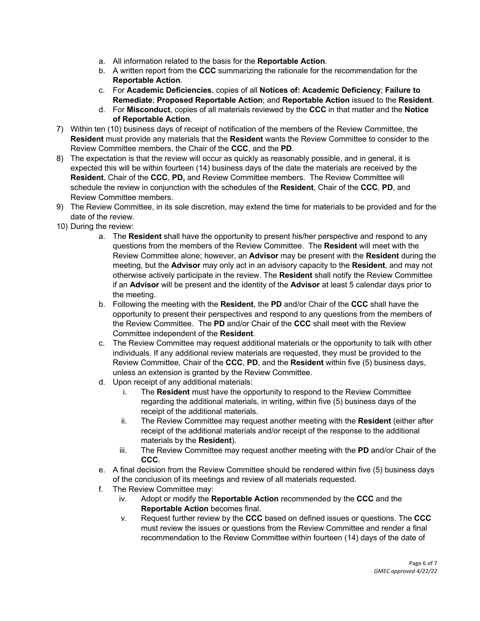- a. All information related to the basis for the **Reportable Action**.
- b. A written report from the **CCC** summarizing the rationale for the recommendation for the **Reportable Action**.
- c. For **Academic Deficiencies**, copies of all **Notices of: Academic Deficiency**; **Failure to Remediate**; **Proposed Reportable Action**; and **Reportable Action** issued to the **Resident**.
- d. For **Misconduct**, copies of all materials reviewed by the **CCC** in that matter and the **Notice of Reportable Action**.
- 7) Within ten (10) business days of receipt of notification of the members of the Review Committee, the **Resident** must provide any materials that the **Resident** wants the Review Committee to consider to the Review Committee members, the Chair of the **CCC**, and the **PD**.
- 8) The expectation is that the review will occur as quickly as reasonably possible, and in general, it is expected this will be within fourteen (14) business days of the date the materials are received by the **Resident**, Chair of the **CCC**, **PD,** and Review Committee members. The Review Committee will schedule the review in conjunction with the schedules of the **Resident**, Chair of the **CCC**, **PD**, and Review Committee members.
- 9) The Review Committee, in its sole discretion, may extend the time for materials to be provided and for the date of the review.
- 10) During the review:
	- a. The **Resident** shall have the opportunity to present his/her perspective and respond to any questions from the members of the Review Committee. The **Resident** will meet with the Review Committee alone; however, an **Advisor** may be present with the **Resident** during the meeting, but the **Advisor** may only act in an advisory capacity to the **Resident**, and may not otherwise actively participate in the review. The **Resident** shall notify the Review Committee if an **Advisor** will be present and the identity of the **Advisor** at least 5 calendar days prior to the meeting.
	- b. Following the meeting with the **Resident**, the **PD** and/or Chair of the **CCC** shall have the opportunity to present their perspectives and respond to any questions from the members of the Review Committee. The **PD** and/or Chair of the **CCC** shall meet with the Review Committee independent of the **Resident**.
	- c. The Review Committee may request additional materials or the opportunity to talk with other individuals. If any additional review materials are requested, they must be provided to the Review Committee, Chair of the **CCC**, **PD**, and the **Resident** within five (5) business days, unless an extension is granted by the Review Committee.
	- d. Upon receipt of any additional materials:
		- i. The **Resident** must have the opportunity to respond to the Review Committee regarding the additional materials, in writing, within five (5) business days of the receipt of the additional materials.
		- ii. The Review Committee may request another meeting with the **Resident** (either after receipt of the additional materials and/or receipt of the response to the additional materials by the **Resident**).
		- iii. The Review Committee may request another meeting with the **PD** and/or Chair of the **CCC**.
	- e. A final decision from the Review Committee should be rendered within five (5) business days of the conclusion of its meetings and review of all materials requested.
	- f. The Review Committee may:
		- iv. Adopt or modify the **Reportable Action** recommended by the **CCC** and the **Reportable Action** becomes final.
		- v. Request further review by the **CCC** based on defined issues or questions. The **CCC** must review the issues or questions from the Review Committee and render a final recommendation to the Review Committee within fourteen (14) days of the date of